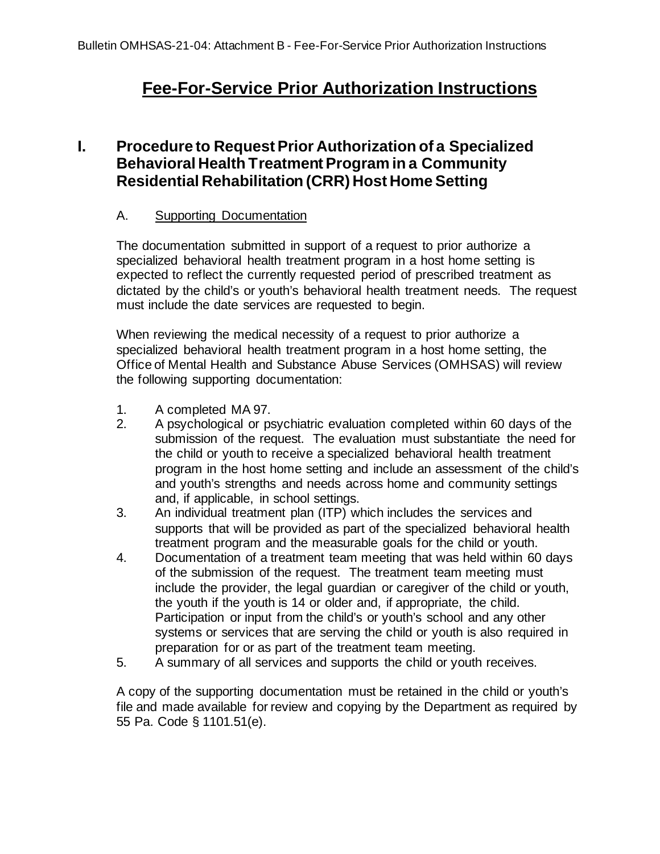# **Fee-For-Service Prior Authorization Instructions**

# **I. Procedure to Request Prior Authorization of a Specialized Behavioral Health Treatment Program in a Community Residential Rehabilitation (CRR) Host Home Setting**

### A. Supporting Documentation

The documentation submitted in support of a request to prior authorize a specialized behavioral health treatment program in a host home setting is expected to reflect the currently requested period of prescribed treatment as dictated by the child's or youth's behavioral health treatment needs. The request must include the date services are requested to begin.

When reviewing the medical necessity of a request to prior authorize a specialized behavioral health treatment program in a host home setting, the Office of Mental Health and Substance Abuse Services (OMHSAS) will review the following supporting documentation:

- 1. A completed MA 97.
- 2. A psychological or psychiatric evaluation completed within 60 days of the submission of the request. The evaluation must substantiate the need for the child or youth to receive a specialized behavioral health treatment program in the host home setting and include an assessment of the child's and youth's strengths and needs across home and community settings and, if applicable, in school settings.
- 3. An individual treatment plan (ITP) which includes the services and supports that will be provided as part of the specialized behavioral health treatment program and the measurable goals for the child or youth.
- 4. Documentation of a treatment team meeting that was held within 60 days of the submission of the request. The treatment team meeting must include the provider, the legal guardian or caregiver of the child or youth, the youth if the youth is 14 or older and, if appropriate, the child. Participation or input from the child's or youth's school and any other systems or services that are serving the child or youth is also required in preparation for or as part of the treatment team meeting.
- 5. A summary of all services and supports the child or youth receives.

A copy of the supporting documentation must be retained in the child or youth's file and made available for review and copying by the Department as required by 55 Pa. Code § 1101.51(e).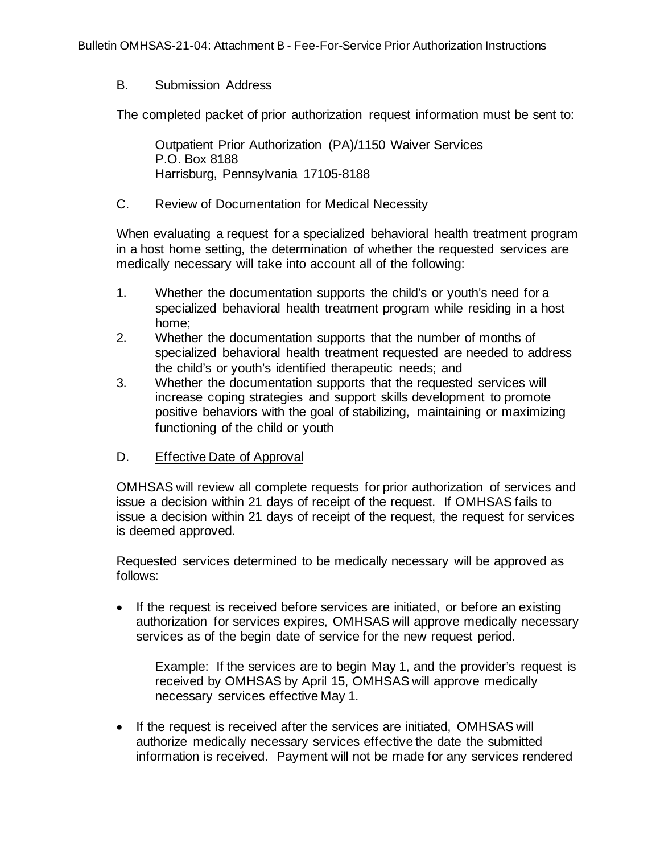### B. Submission Address

The completed packet of prior authorization request information must be sent to:

Outpatient Prior Authorization (PA)/1150 Waiver Services P.O. Box 8188 Harrisburg, Pennsylvania 17105-8188

#### C. Review of Documentation for Medical Necessity

When evaluating a request for a specialized behavioral health treatment program in a host home setting, the determination of whether the requested services are medically necessary will take into account all of the following:

- 1. Whether the documentation supports the child's or youth's need for a specialized behavioral health treatment program while residing in a host home;
- 2. Whether the documentation supports that the number of months of specialized behavioral health treatment requested are needed to address the child's or youth's identified therapeutic needs; and
- 3. Whether the documentation supports that the requested services will increase coping strategies and support skills development to promote positive behaviors with the goal of stabilizing, maintaining or maximizing functioning of the child or youth

## D. Effective Date of Approval

OMHSAS will review all complete requests for prior authorization of services and issue a decision within 21 days of receipt of the request. If OMHSAS fails to issue a decision within 21 days of receipt of the request, the request for services is deemed approved.

Requested services determined to be medically necessary will be approved as follows:

• If the request is received before services are initiated, or before an existing authorization for services expires, OMHSAS will approve medically necessary services as of the begin date of service for the new request period.

Example: If the services are to begin May 1, and the provider's request is received by OMHSAS by April 15, OMHSAS will approve medically necessary services effective May 1.

• If the request is received after the services are initiated, OMHSAS will authorize medically necessary services effective the date the submitted information is received. Payment will not be made for any services rendered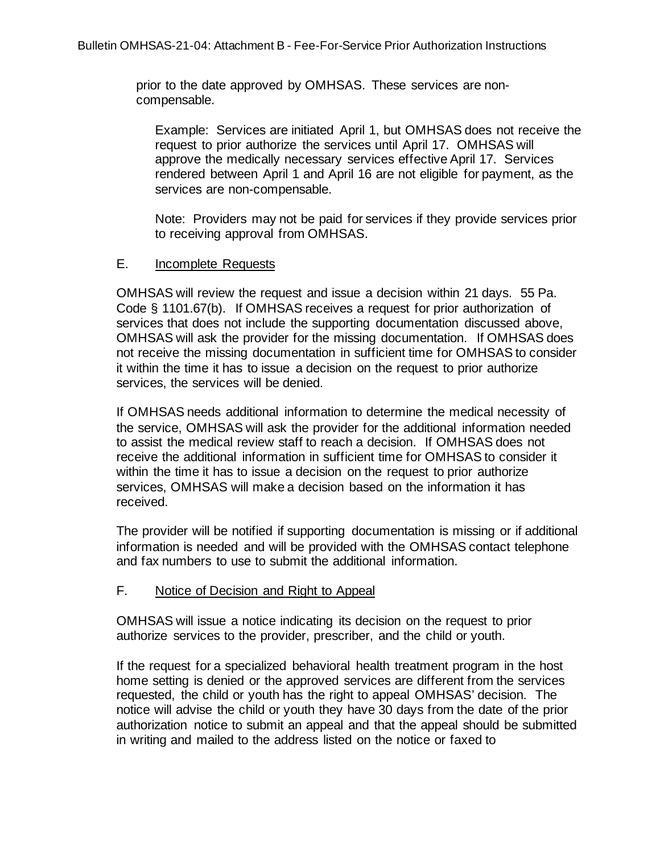prior to the date approved by OMHSAS. These services are noncompensable.

Example: Services are initiated April 1, but OMHSAS does not receive the request to prior authorize the services until April 17. OMHSAS will approve the medically necessary services effective April 17. Services rendered between April 1 and April 16 are not eligible for payment, as the services are non-compensable.

Note: Providers may not be paid for services if they provide services prior to receiving approval from OMHSAS.

#### E. Incomplete Requests

OMHSAS will review the request and issue a decision within 21 days. 55 Pa. Code § 1101.67(b). If OMHSAS receives a request for prior authorization of services that does not include the supporting documentation discussed above, OMHSAS will ask the provider for the missing documentation. If OMHSAS does not receive the missing documentation in sufficient time for OMHSAS to consider it within the time it has to issue a decision on the request to prior authorize services, the services will be denied.

If OMHSAS needs additional information to determine the medical necessity of the service, OMHSAS will ask the provider for the additional information needed to assist the medical review staff to reach a decision. If OMHSAS does not receive the additional information in sufficient time for OMHSAS to consider it within the time it has to issue a decision on the request to prior authorize services, OMHSAS will make a decision based on the information it has received.

The provider will be notified if supporting documentation is missing or if additional information is needed and will be provided with the OMHSAS contact telephone and fax numbers to use to submit the additional information.

#### F. Notice of Decision and Right to Appeal

OMHSAS will issue a notice indicating its decision on the request to prior authorize services to the provider, prescriber, and the child or youth.

If the request for a specialized behavioral health treatment program in the host home setting is denied or the approved services are different from the services requested, the child or youth has the right to appeal OMHSAS' decision. The notice will advise the child or youth they have 30 days from the date of the prior authorization notice to submit an appeal and that the appeal should be submitted in writing and mailed to the address listed on the notice or faxed to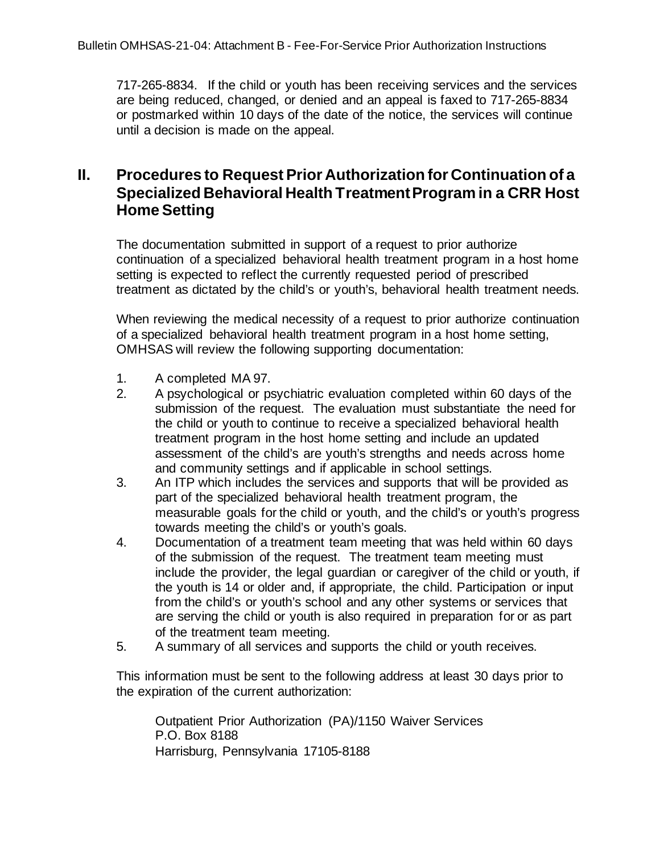717-265-8834. If the child or youth has been receiving services and the services are being reduced, changed, or denied and an appeal is faxed to 717-265-8834 or postmarked within 10 days of the date of the notice, the services will continue until a decision is made on the appeal.

# **II. Procedures to Request Prior Authorization for Continuation of a Specialized Behavioral Health Treatment Program in a CRR Host Home Setting**

The documentation submitted in support of a request to prior authorize continuation of a specialized behavioral health treatment program in a host home setting is expected to reflect the currently requested period of prescribed treatment as dictated by the child's or youth's, behavioral health treatment needs.

When reviewing the medical necessity of a request to prior authorize continuation of a specialized behavioral health treatment program in a host home setting, OMHSAS will review the following supporting documentation:

- 1. A completed MA 97.
- 2. A psychological or psychiatric evaluation completed within 60 days of the submission of the request. The evaluation must substantiate the need for the child or youth to continue to receive a specialized behavioral health treatment program in the host home setting and include an updated assessment of the child's are youth's strengths and needs across home and community settings and if applicable in school settings.
- 3. An ITP which includes the services and supports that will be provided as part of the specialized behavioral health treatment program, the measurable goals for the child or youth, and the child's or youth's progress towards meeting the child's or youth's goals.
- 4. Documentation of a treatment team meeting that was held within 60 days of the submission of the request. The treatment team meeting must include the provider, the legal guardian or caregiver of the child or youth, if the youth is 14 or older and, if appropriate, the child. Participation or input from the child's or youth's school and any other systems or services that are serving the child or youth is also required in preparation for or as part of the treatment team meeting.
- 5. A summary of all services and supports the child or youth receives.

This information must be sent to the following address at least 30 days prior to the expiration of the current authorization:

Outpatient Prior Authorization (PA)/1150 Waiver Services P.O. Box 8188 Harrisburg, Pennsylvania 17105-8188